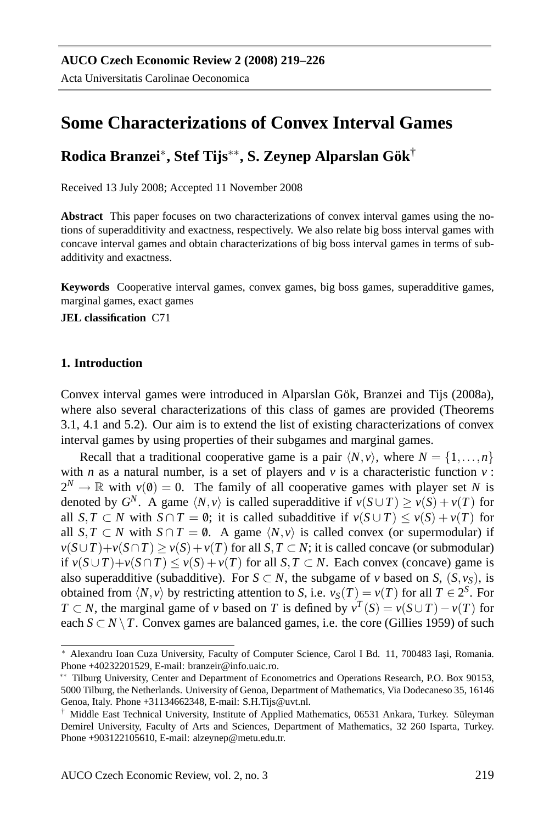# **Some Characterizations of Convex Interval Games**

# **Rodica Branzei**<sup>∗</sup> **, Stef Tijs**∗∗**, S. Zeynep Alparslan Gok¨** †

Received 13 July 2008; Accepted 11 November 2008

**Abstract** This paper focuses on two characterizations of convex interval games using the notions of superadditivity and exactness, respectively. We also relate big boss interval games with concave interval games and obtain characterizations of big boss interval games in terms of subadditivity and exactness.

**Keywords** Cooperative interval games, convex games, big boss games, superadditive games, marginal games, exact games

**JEL classification** C71

### **1. Introduction**

Convex interval games were introduced in Alparslan Gök, Branzei and Tijs (2008a), where also several characterizations of this class of games are provided (Theorems 3.1, 4.1 and 5.2). Our aim is to extend the list of existing characterizations of convex interval games by using properties of their subgames and marginal games.

Recall that a traditional cooperative game is a pair  $\langle N, v \rangle$ , where  $N = \{1, \ldots, n\}$ with *n* as a natural number, is a set of players and  $\nu$  is a characteristic function  $\nu$ :  $2^N \to \mathbb{R}$  with  $v(\emptyset) = 0$ . The family of all cooperative games with player set *N* is denoted by  $G^N$ . A game  $\langle N, v \rangle$  is called superadditive if  $v(S \cup T) \ge v(S) + v(T)$  for all *S*,*T* ⊂ *N* with *S* ∩ *T* = 0; it is called subadditive if  $v(S \cup T) \le v(S) + v(T)$  for all *S*, *T* ⊂ *N* with *S* ∩ *T* = 0. A game  $\langle N, v \rangle$  is called convex (or supermodular) if  $v(S \cup T) + v(S \cap T) \ge v(S) + v(T)$  for all *S*, *T* ⊂ *N*; it is called concave (or submodular) if *v*( $S \cup T$ )+*v*( $S \cap T$ ) ≤ *v*( $S$ )+*v*( $T$ ) for all  $S, T \subset N$ . Each convex (concave) game is also superadditive (subadditive). For  $S \subset N$ , the subgame of *v* based on *S*,  $(S, v_S)$ , is obtained from  $\langle N, v \rangle$  by restricting attention to *S*, i.e.  $v_S(T) = v(T)$  for all  $T \in 2^S$ . For *T* ⊂ *N*, the marginal game of *v* based on *T* is defined by  $v^T(S) = v(S \cup T) - v(T)$  for each  $S \subset N \setminus T$ . Convex games are balanced games, i.e. the core (Gillies 1959) of such

<sup>\*</sup> Alexandru Ioan Cuza University, Faculty of Computer Science, Carol I Bd. 11, 700483 Iași, Romania. Phone +40232201529, E-mail: branzeir@info.uaic.ro.

<sup>∗∗</sup> Tilburg University, Center and Department of Econometrics and Operations Research, P.O. Box 90153, 5000 Tilburg, the Netherlands. University of Genoa, Department of Mathematics, Via Dodecaneso 35, 16146 Genoa, Italy. Phone +31134662348, E-mail: S.H.Tijs@uvt.nl.

<sup>†</sup> Middle East Technical University, Institute of Applied Mathematics, 06531 Ankara, Turkey. Suleyman ¨ Demirel University, Faculty of Arts and Sciences, Department of Mathematics, 32 260 Isparta, Turkey. Phone +903122105610, E-mail: alzeynep@metu.edu.tr.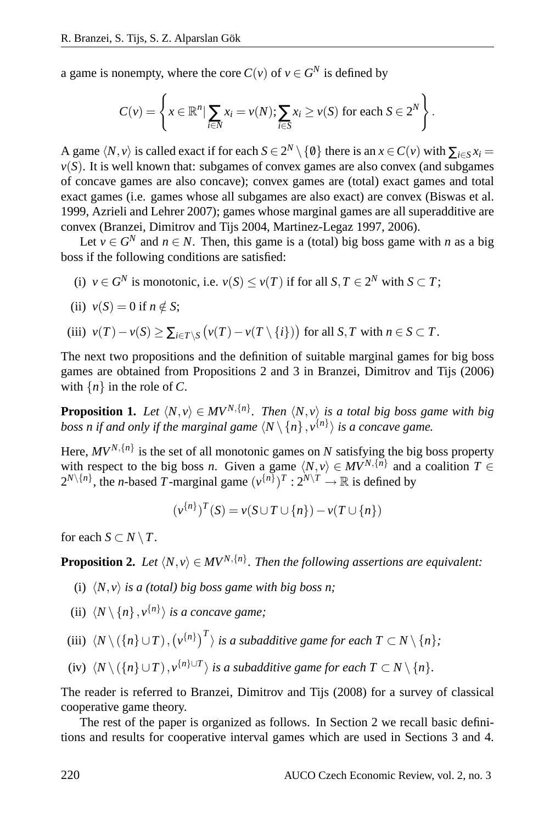a game is nonempty, where the core  $C(v)$  of  $v \in G^N$  is defined by

$$
C(v) = \left\{ x \in \mathbb{R}^n \mid \sum_{i \in N} x_i = v(N); \sum_{i \in S} x_i \ge v(S) \text{ for each } S \in 2^N \right\}.
$$

A game  $\langle N, v \rangle$  is called exact if for each  $S \in 2^N \setminus \{0\}$  there is an  $x \in C(v)$  with  $\sum_{i \in S} x_i =$  $v(S)$ . It is well known that: subgames of convex games are also convex (and subgames of concave games are also concave); convex games are (total) exact games and total exact games (i.e. games whose all subgames are also exact) are convex (Biswas et al. 1999, Azrieli and Lehrer 2007); games whose marginal games are all superadditive are convex (Branzei, Dimitrov and Tijs 2004, Martinez-Legaz 1997, 2006).

Let  $v \in G^N$  and  $n \in N$ . Then, this game is a (total) big boss game with *n* as a big boss if the following conditions are satisfied:

- (i)  $v \in G^N$  is monotonic, i.e.  $v(S) \le v(T)$  if for all  $S, T \in 2^N$  with  $S \subset T$ ;
- (ii)  $v(S) = 0$  if  $n \notin S$ ;

(iii) 
$$
v(T) - v(S) \ge \sum_{i \in T \setminus S} (v(T) - v(T \setminus \{i\}))
$$
 for all  $S, T$  with  $n \in S \subset T$ .

The next two propositions and the definition of suitable marginal games for big boss games are obtained from Propositions 2 and 3 in Branzei, Dimitrov and Tijs (2006) with  $\{n\}$  in the role of *C*.

**Proposition 1.** *Let*  $\langle N, v \rangle \in MV^{N, \{n\}}$ . *Then*  $\langle N, v \rangle$  *is a total big boss game with big boss n if and only if the marginal game*  $\langle N \setminus \{n\}, v^{\{n\}} \rangle$  is a concave game.

Here,  $MV^{N, \{n\}}$  is the set of all monotonic games on *N* satisfying the big boss property with respect to the big boss *n*. Given a game  $\langle N, v \rangle \in MV^{N, \{n\}}$  and a coalition  $T \in$  $2^{N\setminus\{n\}}$ , the *n*-based *T*-marginal game  $(v^{\{n\}})^{T}: 2^{N\setminus T} \to \mathbb{R}$  is defined by

$$
(\nu^{\{n\}})^T(S) = \nu(S \cup T \cup \{n\}) - \nu(T \cup \{n\})
$$

for each  $S \subset N \setminus T$ .

**Proposition 2.** Let  $\langle N, v \rangle \in MV^{N, \{n\}}$ . Then the following assertions are equivalent:

- (i)  $\langle N, v \rangle$  *is a (total) big boss game with big boss n;*
- (ii)  $\langle N \setminus \{n\}, v^{\{n\}} \rangle$  *is a concave game;*
- (iii)  $\langle N \setminus (\{n\} \cup T), (v^{\{n\}})^T \rangle$  is a subadditive game for each  $T \subset N \setminus \{n\}$ ;
- (iv)  $\langle N \setminus (\{n\} \cup T), v^{\{n\} \cup T} \rangle$  is a subadditive game for each  $T \subset N \setminus \{n\}$ .

The reader is referred to Branzei, Dimitrov and Tijs (2008) for a survey of classical cooperative game theory.

The rest of the paper is organized as follows. In Section 2 we recall basic definitions and results for cooperative interval games which are used in Sections 3 and 4.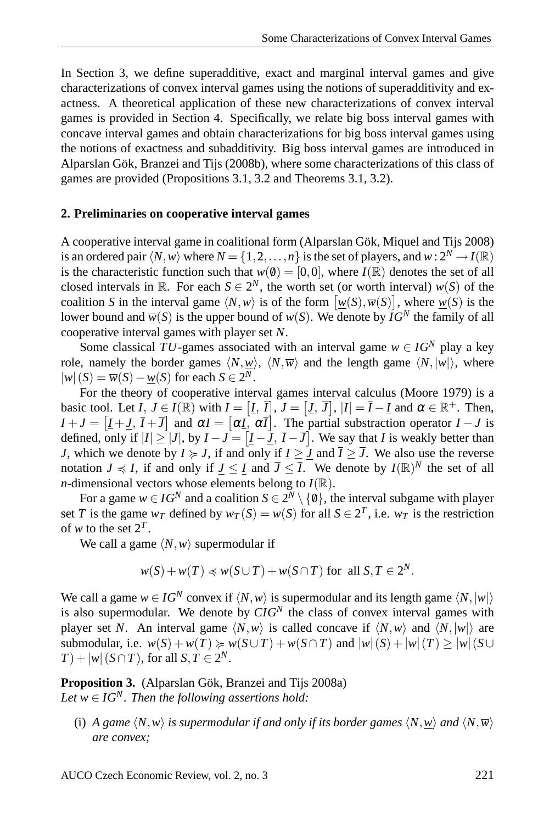In Section 3, we define superadditive, exact and marginal interval games and give characterizations of convex interval games using the notions of superadditivity and exactness. A theoretical application of these new characterizations of convex interval games is provided in Section 4. Specifically, we relate big boss interval games with concave interval games and obtain characterizations for big boss interval games using the notions of exactness and subadditivity. Big boss interval games are introduced in Alparslan Gök, Branzei and Tijs (2008b), where some characterizations of this class of games are provided (Propositions 3.1, 3.2 and Theorems 3.1, 3.2).

#### **2. Preliminaries on cooperative interval games**

A cooperative interval game in coalitional form (Alparslan Gök, Miquel and Tijs 2008) is an ordered pair  $\langle N, w \rangle$  where  $N = \{1, 2, ..., n\}$  is the set of players, and  $w : 2^N \to I(\mathbb{R})$ is the characteristic function such that  $w(0) = [0,0]$ , where  $I(\mathbb{R})$  denotes the set of all closed intervals in  $\mathbb{R}$ . For each  $S \in 2^N$ , the worth set (or worth interval)  $w(S)$  of the coalition *S* in the interval game  $\langle N, w \rangle$  is of the form  $\left[ \underline{w}(S), \overline{w}(S) \right]$ , where  $\underline{w}(S)$  is the lower bound and  $\overline{w}(S)$  is the upper bound of  $w(S)$ . We denote by  $\overline{IG}^N$  the family of all cooperative interval games with player set *N*.

Some classical *TU*-games associated with an interval game  $w \in IG^N$  play a key role, namely the border games  $\langle N, w \rangle$ ,  $\langle N, \overline{w} \rangle$  and the length game  $\langle N, |w| \rangle$ , where  $|w|(S) = \overline{w}(S) - \underline{w}(S)$  for each *S* ∈ 2<sup>*N*</sup>.

For the theory of cooperative interval games interval calculus (Moore 1979) is a basic tool. Let  $I, J \in I(\mathbb{R})$  with  $I = [I, \overline{I}], J = [J, \overline{J}], |I| = \overline{I} - \underline{I}$  and  $\alpha \in \mathbb{R}^+$ . Then,  $I + J = [I + J, I + \overline{J}]$  and  $\alpha I = [\alpha I, \alpha \overline{I}]$ . The partial substraction operator  $I - J$  is defined, only if  $|I| \ge |J|$ , by  $I - J = [I - J, \overline{I} - \overline{J}]$ . We say that *I* is weakly better than *J*, which we denote by  $I \geq J$ , if and only if  $I \geq \overline{J}$  and  $\overline{I} \geq \overline{J}$ . We also use the reverse notation  $J \preccurlyeq I$ , if and only if  $J \leq I$  and  $\overline{J} \leq \overline{I}$ . We denote by  $I(\mathbb{R})^N$  the set of all *n*-dimensional vectors whose elements belong to  $I(\mathbb{R})$ .

For a game  $w \in IG^N$  and a coalition  $S \in 2^N \setminus \{0\}$ , the interval subgame with player set *T* is the game  $w_T$  defined by  $w_T(S) = w(S)$  for all  $S \in 2^T$ , i.e.  $w_T$  is the restriction of *w* to the set  $2^T$ .

We call a game  $\langle N, w \rangle$  supermodular if

$$
w(S) + w(T) \preccurlyeq w(S \cup T) + w(S \cap T)
$$
 for all  $S, T \in 2^N$ .

We call a game  $w \in IG^N$  convex if  $\langle N, w \rangle$  is supermodular and its length game  $\langle N, |w| \rangle$ is also supermodular. We denote by  $CIG<sup>N</sup>$  the class of convex interval games with player set *N*. An interval game  $\langle N, w \rangle$  is called concave if  $\langle N, w \rangle$  and  $\langle N, |w| \rangle$  are submodular, i.e.  $w(S) + w(T) \ge w(S \cup T) + w(S \cap T)$  and  $|w|(S) + |w|(T) \ge |w|(S \cup T)$  $(T) + |w| (S \cap T)$ , for all  $S, T \in 2^N$ .

Proposition 3. (Alparslan Gök, Branzei and Tijs 2008a) *Let*  $w \in IG^N$ *. Then the following assertions hold:* 

(i) *A game*  $\langle N, w \rangle$  *is supermodular if and only if its border games*  $\langle N, w \rangle$  *and*  $\langle N, \overline{w} \rangle$ *are convex;*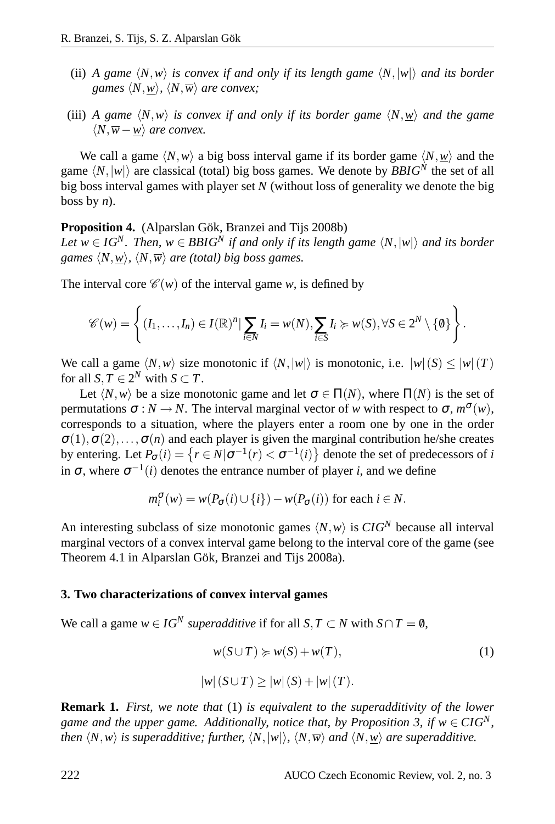- (ii) *A game*  $\langle N, w \rangle$  *is convex if and only if its length game*  $\langle N, |w| \rangle$  *and its border games*  $\langle N, w \rangle$ *,*  $\langle N, \overline{w} \rangle$  *are convex;*
- (iii) *A game*  $\langle N, w \rangle$  *is convex if and only if its border game*  $\langle N, w \rangle$  *and the game*  $\langle N, \overline{w}$ −*w* $\rangle$  *are convex.*

We call a game  $\langle N, w \rangle$  a big boss interval game if its border game  $\langle N, w \rangle$  and the game  $\langle N, |w| \rangle$  are classical (total) big boss games. We denote by *BBIG*<sup> $N$ </sup> the set of all big boss interval games with player set *N* (without loss of generality we denote the big boss by *n*).

**Proposition 4.** (Alparslan Gök, Branzei and Tijs 2008b)

*Let*  $w \in IG^N$ *. Then,*  $w \in BBIG^N$  *if and only if its length game*  $\langle N, |w| \rangle$  *and its border games*  $\langle N, w \rangle$ ,  $\langle N, \overline{w} \rangle$  *are (total) big boss games.* 

The interval core  $\mathcal{C}(w)$  of the interval game *w*, is defined by

$$
\mathscr{C}(w) = \left\{ (I_1, \ldots, I_n) \in I(\mathbb{R})^n | \sum_{i \in N} I_i = w(N), \sum_{i \in S} I_i \succcurlyeq w(S), \forall S \in 2^N \setminus \{0\} \right\}.
$$

We call a game  $\langle N, w \rangle$  size monotonic if  $\langle N, |w| \rangle$  is monotonic, i.e.  $|w|(S) \le |w|(T)$ for all  $S, T \in 2^N$  with  $S \subset T$ .

Let  $\langle N, w \rangle$  be a size monotonic game and let  $\sigma \in \Pi(N)$ , where  $\Pi(N)$  is the set of permutations  $\sigma : N \to N$ . The interval marginal vector of *w* with respect to  $\sigma$ ,  $m^{\sigma}(w)$ , corresponds to a situation, where the players enter a room one by one in the order  $\sigma(1), \sigma(2), \ldots, \sigma(n)$  and each player is given the marginal contribution he/she creates by entering. Let  $P_{\sigma}(i) = \{r \in N | \sigma^{-1}(r) < \sigma^{-1}(i)\}$  denote the set of predecessors of *i* in  $\sigma$ , where  $\sigma^{-1}(i)$  denotes the entrance number of player *i*, and we define

$$
m_i^{\sigma}(w) = w(P_{\sigma}(i) \cup \{i\}) - w(P_{\sigma}(i))
$$
 for each  $i \in N$ .

An interesting subclass of size monotonic games  $\langle N, w \rangle$  is  $CIG<sup>N</sup>$  because all interval marginal vectors of a convex interval game belong to the interval core of the game (see Theorem 4.1 in Alparslan Gök, Branzei and Tijs 2008a).

#### **3. Two characterizations of convex interval games**

We call a game  $w \in IG^N$  *superadditive* if for all  $S, T \subset N$  with  $S \cap T = \emptyset$ ,

$$
w(S \cup T) \ge w(S) + w(T),
$$
  
\n
$$
|w|(S \cup T) \ge |w|(S) + |w|(T).
$$
\n(1)

**Remark 1.** *First, we note that* (1) *is equivalent to the superadditivity of the lower game and the upper game. Additionally, notice that, by Proposition 3, if*  $w \in CIG<sup>N</sup>$ *, then*  $\langle N, w \rangle$  *is superadditive; further,*  $\langle N, |w| \rangle$ ,  $\langle N, \overline{w} \rangle$  *and*  $\langle N, w \rangle$  *are superadditive.*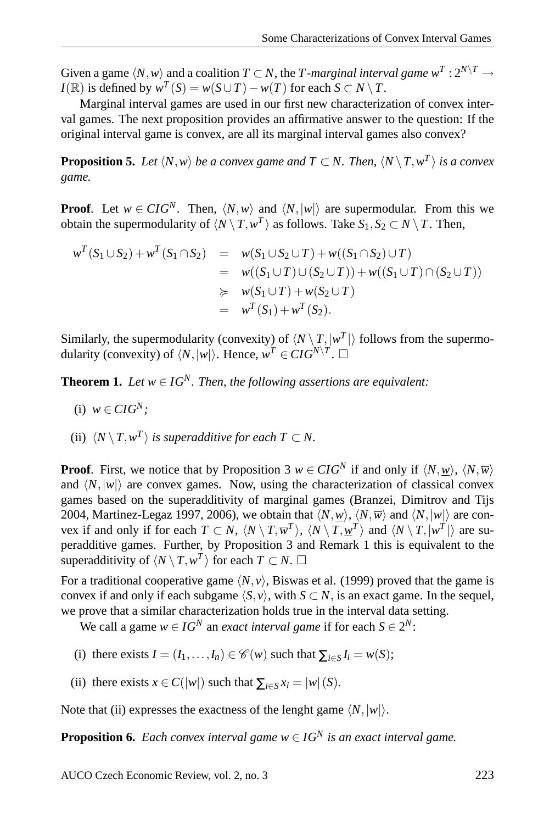Given a game  $\langle N, w \rangle$  and a coalition  $T \subset N$ , the *T -marginal interval game*  $w^T : 2^{N \setminus T} \to$ *I*( $\mathbb{R}$ ) is defined by  $w^T(S) = w(S \cup T) - w(T)$  for each  $S \subset N \setminus T$ .

Marginal interval games are used in our first new characterization of convex interval games. The next proposition provides an affirmative answer to the question: If the original interval game is convex, are all its marginal interval games also convex?

**Proposition 5.** Let  $\langle N, w \rangle$  be a convex game and  $T \subset N$ . Then,  $\langle N \setminus T, w^T \rangle$  is a convex *game.*

**Proof.** Let  $w \in \text{CIG}^N$ . Then,  $\langle N, w \rangle$  and  $\langle N, |w| \rangle$  are supermodular. From this we obtain the supermodularity of  $\langle N \setminus T, w^T \rangle$  as follows. Take  $S_1, S_2 \subset N \setminus T$ . Then,

$$
w^{T}(S_{1} \cup S_{2}) + w^{T}(S_{1} \cap S_{2}) = w(S_{1} \cup S_{2} \cup T) + w((S_{1} \cap S_{2}) \cup T)
$$
  
= 
$$
w((S_{1} \cup T) \cup (S_{2} \cup T)) + w((S_{1} \cup T) \cap (S_{2} \cup T))
$$
  

$$
\succcurlyeq w(S_{1} \cup T) + w(S_{2} \cup T)
$$
  
= 
$$
w^{T}(S_{1}) + w^{T}(S_{2}).
$$

Similarly, the supermodularity (convexity) of  $\langle N \setminus T, |w^T| \rangle$  follows from the supermodularity (convexity) of  $\langle N, |w| \rangle$ . Hence,  $w^T \in \mathbb{C}IG^{N \setminus T}$ .  $\square$ 

**Theorem 1.** *Let*  $w \in IG^N$ *. Then, the following assertions are equivalent:* 

- (i)  $w \in CIG^N$ ;
- (ii)  $\langle N \setminus T, w^T \rangle$  *is superadditive for each*  $T \subset N$ .

**Proof.** First, we notice that by Proposition 3  $w \in CIG^N$  if and only if  $\langle N, w \rangle$ ,  $\langle N, \overline{w} \rangle$ and  $\langle N, |w| \rangle$  are convex games. Now, using the characterization of classical convex games based on the superadditivity of marginal games (Branzei, Dimitrov and Tijs 2004, Martinez-Legaz 1997, 2006), we obtain that  $\langle N, w \rangle$ ,  $\langle N, \overline{w} \rangle$  and  $\langle N, |w| \rangle$  are convex if and only if for each  $T \subset N$ ,  $\langle N \setminus T, \overline{w}^T \rangle$ ,  $\langle N \setminus T, \underline{w}^T \rangle$  and  $\langle N \setminus T, |w^T| \rangle$  are superadditive games. Further, by Proposition 3 and Remark 1 this is equivalent to the superadditivity of  $\langle N \setminus T, w^T \rangle$  for each  $T \subset N$ .  $\Box$ 

For a traditional cooperative game  $\langle N, v \rangle$ , Biswas et al. (1999) proved that the game is convex if and only if each subgame  $\langle S, v \rangle$ , with  $S \subset N$ , is an exact game. In the sequel, we prove that a similar characterization holds true in the interval data setting.

We call a game  $w \in IG^N$  an *exact interval game* if for each  $S \in 2^N$ :

- (i) there exists  $I = (I_1, \ldots, I_n) \in \mathcal{C}(w)$  such that  $\sum_{i \in S} I_i = w(S)$ ;
- (ii) there exists  $x \in C(|w|)$  such that  $\sum_{i \in S} x_i = |w|(S)$ .

Note that (ii) expresses the exactness of the lenght game  $\langle N, |w| \rangle$ .

**Proposition 6.** *Each convex interval game*  $w \in IG^N$  *is an exact interval game.*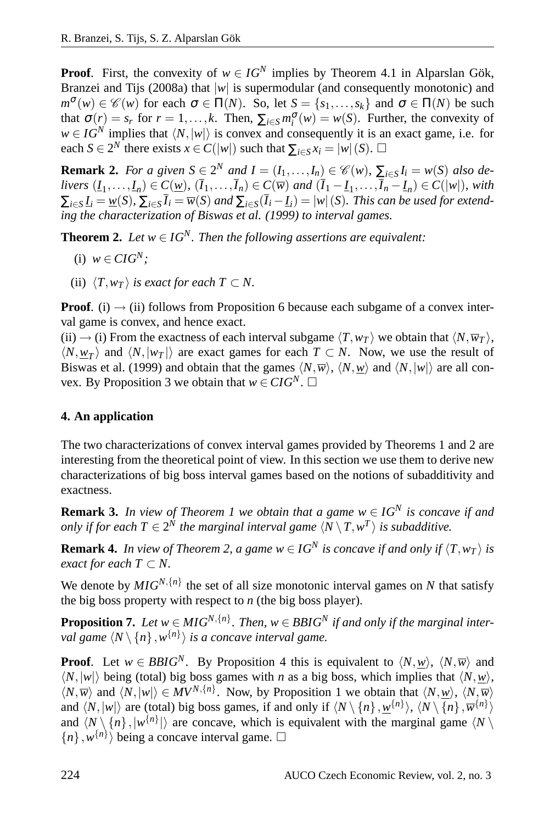**Proof.** First, the convexity of  $w \in IG^N$  implies by Theorem 4.1 in Alparslan Gök, Branzei and Tijs (2008a) that  $|w|$  is supermodular (and consequently monotonic) and  $m^{\sigma}(w) \in \mathscr{C}(w)$  for each  $\sigma \in \Pi(N)$ . So, let  $S = \{s_1, \ldots, s_k\}$  and  $\sigma \in \Pi(N)$  be such that  $\sigma(r) = s_r$  for  $r = 1, ..., k$ . Then,  $\sum_{i \in S} m_i^{\sigma}(w) = w(S)$ . Further, the convexity of *i w* ∈ *IG<sup>N</sup>* implies that h*N*,|*w*|i is convex and consequently it is an exact game, i.e. for each *S* ∈  $2^N$  there exists *x* ∈ *C*(|*w*|) such that  $\sum_{i \in S} x_i = |w| (S)$ . □

**Remark 2.** *For a given*  $S \in 2^N$  *and*  $I = (I_1, \ldots, I_n) \in \mathcal{C}(w)$ ,  $\sum_{i \in S} I_i = w(S)$  *also de*livers  $(L_1,\ldots,L_n)\in C(\underline{w})$ ,  $(\overline{I}_1,\ldots,\overline{I}_n)\in C(\overline{w})$  and  $(\overline{I}_1-\underline{I}_1,\ldots,\overline{I}_n-\underline{I}_n)\in C(|w|)$ , with  $\sum_{i\in S}I_i=\underline{w}(S),\ \sum_{i\in S}\overline{I}_i=\overline{w}(S)$  and  $\sum_{i\in S}(\overline{I}_i-I_i)=|w|(S).$  This can be used for extend*ing the characterization of Biswas et al. (1999) to interval games.*

**Theorem 2.** *Let*  $w \in IG^N$ *. Then the following assertions are equivalent:* 

- (i)  $w \in CIG^N$ ;
- (ii)  $\langle T, w_T \rangle$  *is exact for each*  $T \subset N$ .

**Proof.** (i)  $\rightarrow$  (ii) follows from Proposition 6 because each subgame of a convex interval game is convex, and hence exact.

(ii)  $\rightarrow$  (i) From the exactness of each interval subgame  $\langle T, w_T \rangle$  we obtain that  $\langle N, \overline{w}_T \rangle$ ,  $\langle N, \underline{w}_T \rangle$  and  $\langle N, |w_T| \rangle$  are exact games for each  $T \subset N$ . Now, we use the result of Biswas et al. (1999) and obtain that the games  $\langle N,\overline{w}\rangle$ ,  $\langle N,\underline{w}\rangle$  and  $\langle N,|w|\rangle$  are all convex. By Proposition 3 we obtain that  $w \in \mathbb{C}IG^N$ . □

## **4. An application**

The two characterizations of convex interval games provided by Theorems 1 and 2 are interesting from the theoretical point of view. In this section we use them to derive new characterizations of big boss interval games based on the notions of subadditivity and exactness.

**Remark 3.** *In view of Theorem 1 we obtain that a game w* ∈ *IG<sup>N</sup> is concave if and only if for each*  $T \in 2^N$  *the marginal interval game*  $\langle N \setminus T, w^T \rangle$  *is subadditive.* 

**Remark 4.** *In view of Theorem 2, a game*  $w \in IG^N$  *is concave if and only if*  $\langle T, w_T \rangle$  *is exact for each*  $T \subset N$ .

We denote by  $MIG^{N, \{n\}}$  the set of all size monotonic interval games on *N* that satisfy the big boss property with respect to *n* (the big boss player).

**Proposition 7.** Let  $w \in MIG^{N, \{n\}}$ . Then,  $w \in BBIG^{N}$  if and only if the marginal inter*val game*  $\langle N \setminus \{n\}, w^{\{n\}} \rangle$  *is a concave interval game.* 

**Proof.** Let  $w \in BBIG^N$ . By Proposition 4 this is equivalent to  $\langle N, \underline{w} \rangle$ ,  $\langle N, \overline{w} \rangle$  and  $\langle N, |w| \rangle$  being (total) big boss games with *n* as a big boss, which implies that  $\langle N, w \rangle$ ,  $\langle N,\overline{w}\rangle$  and  $\langle N,|w|\rangle \in MV^{N,\{n\}}$ . Now, by Proposition 1 we obtain that  $\langle N,\underline{w}\rangle$ ,  $\langle N,\overline{w}\rangle$ and  $\langle N, |w| \rangle$  are (total) big boss games, if and only if  $\langle N \setminus \{n\}, \underline{w}^{\{n\}} \rangle$ ,  $\langle N \setminus \{n\}, \overline{w}^{\{n\}} \rangle$ and  $\langle N \setminus \{n\}, |w^{\{n\}}| \rangle$  are concave, which is equivalent with the marginal game  $\langle N \setminus \{n\}, |w^{\{n\}}| \rangle$  $\{n\}$ ,  $w^{\{n\}}$  being a concave interval game.  $\square$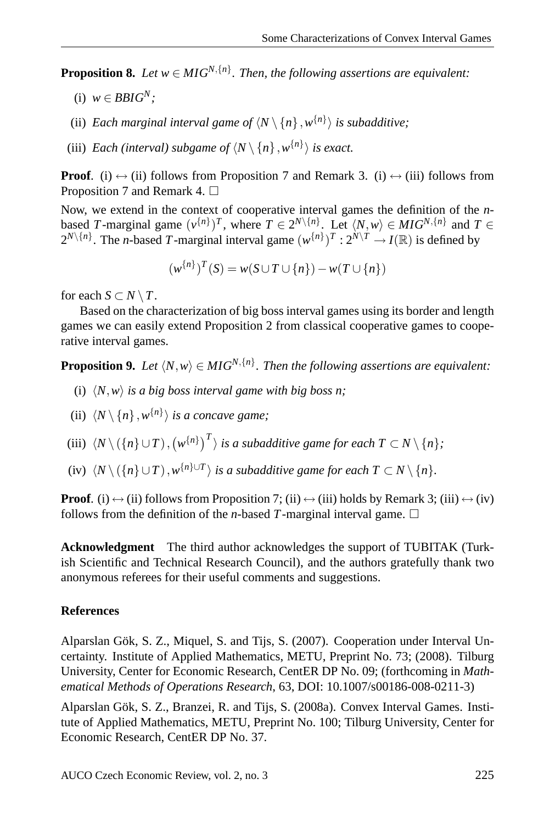**Proposition 8.** Let  $w \in MIG^{N, \{n\}}$ . Then, the following assertions are equivalent:

- (i)  $w \in BBIG^N$ ;
- (ii) *Each marginal interval game of*  $\langle N \setminus \{n\}, w^{\{n\}} \rangle$  *is subadditive;*
- (iii) *Each* (interval) subgame of  $\langle N \setminus \{n\}, w^{\{n\}} \rangle$  is exact.

**Proof.** (i)  $\leftrightarrow$  (ii) follows from Proposition 7 and Remark 3. (i)  $\leftrightarrow$  (iii) follows from Proposition 7 and Remark 4.  $\Box$ 

Now, we extend in the context of cooperative interval games the definition of the *n*based *T*-marginal game  $(v^{n})^T$ , where  $T \in 2^{N \setminus \{n\}}$ . Let  $\langle N, w \rangle \in MIG^{N, \{n\}}$  and  $T \in$  $2^{N\setminus\{n\}}$ . The *n*-based *T*-marginal interval game  $(w^{\{n\}})^{T} : 2^{N\setminus T} \to I(\mathbb{R})$  is defined by

$$
(w^{\{n\}})^T(S) = w(S \cup T \cup \{n\}) - w(T \cup \{n\})
$$

for each  $S \subset N \setminus T$ .

Based on the characterization of big boss interval games using its border and length games we can easily extend Proposition 2 from classical cooperative games to cooperative interval games.

**Proposition 9.** Let  $\langle N, w \rangle \in MIG^{N, \{n\}}$ . Then the following assertions are equivalent:

- (i)  $\langle N, w \rangle$  *is a big boss interval game with big boss n;*
- (ii)  $\langle N \setminus \{n\}, w^{\{n\}} \rangle$  *is a concave game;*
- (iii)  $\langle N \setminus ({n} \} \cup T), (w^{\{n\}})^T$  *is a subadditive game for each*  $T \subset N \setminus {n}$ *;*
- (iv)  $\langle N \setminus (\{n\} \cup T), w^{\{n\} \cup T} \rangle$  *is a subadditive game for each*  $T \subset N \setminus \{n\}$ *.*

**Proof**. (i)  $\leftrightarrow$  (ii) follows from Proposition 7; (ii)  $\leftrightarrow$  (iii) holds by Remark 3; (iii)  $\leftrightarrow$  (iv) follows from the definition of the *n*-based T-marginal interval game.  $\Box$ 

**Acknowledgment** The third author acknowledges the support of TUBITAK (Turkish Scientific and Technical Research Council), and the authors gratefully thank two anonymous referees for their useful comments and suggestions.

### **References**

Alparslan Gök, S. Z., Miquel, S. and Tijs, S. (2007). Cooperation under Interval Uncertainty. Institute of Applied Mathematics, METU, Preprint No. 73; (2008). Tilburg University, Center for Economic Research, CentER DP No. 09; (forthcoming in *Mathematical Methods of Operations Research*, 63, DOI: 10.1007/s00186-008-0211-3)

Alparslan Gök, S. Z., Branzei, R. and Tijs, S. (2008a). Convex Interval Games. Institute of Applied Mathematics, METU, Preprint No. 100; Tilburg University, Center for Economic Research, CentER DP No. 37.